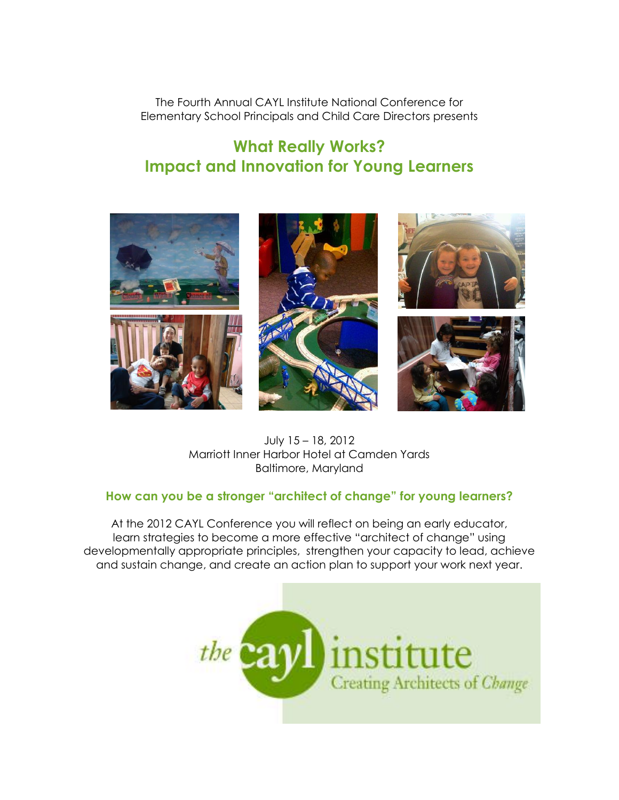The Fourth Annual CAYL Institute National Conference for Elementary School Principals and Child Care Directors presents

# **What Really Works? Impact and Innovation for Young Learners**



July 15 – 18, 2012 Marriott Inner Harbor Hotel at Camden Yards Baltimore, Maryland

### **How can you be a stronger "architect of change" for young learners?**

At the 2012 CAYL Conference you will reflect on being an early educator, learn strategies to become a more effective "architect of change" using developmentally appropriate principles, strengthen your capacity to lead, achieve and sustain change, and create an action plan to support your work next year.

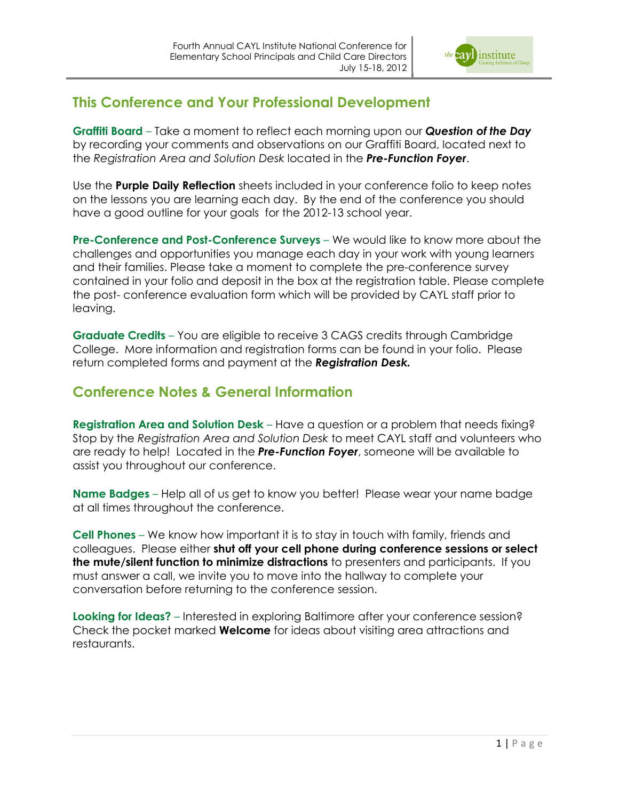

### **This Conference and Your Professional Development**

**Graffiti Board** – Take a moment to reflect each morning upon our *Question of the Day* by recording your comments and observations on our Graffiti Board, located next to the *Registration Area and Solution Desk* located in the *Pre-Function Foyer*.

Use the **Purple Daily Reflection** sheets included in your conference folio to keep notes on the lessons you are learning each day. By the end of the conference you should have a good outline for your goals for the 2012-13 school year.

**Pre-Conference and Post-Conference Surveys** – We would like to know more about the challenges and opportunities you manage each day in your work with young learners and their families. Please take a moment to complete the pre-conference survey contained in your folio and deposit in the box at the registration table. Please complete the post- conference evaluation form which will be provided by CAYL staff prior to leaving.

**Graduate Credits** – You are eligible to receive 3 CAGS credits through Cambridge College. More information and registration forms can be found in your folio. Please return completed forms and payment at the *Registration Desk.*

## **Conference Notes & General Information**

**Registration Area and Solution Desk** – Have a question or a problem that needs fixing? Stop by the *Registration Area and Solution Desk* to meet CAYL staff and volunteers who are ready to help! Located in the *Pre-Function Foyer*, someone will be available to assist you throughout our conference.

**Name Badges** – Help all of us get to know you better! Please wear your name badge at all times throughout the conference.

**Cell Phones** – We know how important it is to stay in touch with family, friends and colleagues. Please either **shut off your cell phone during conference sessions or select the mute/silent function to minimize distractions** to presenters and participants. If you must answer a call, we invite you to move into the hallway to complete your conversation before returning to the conference session.

**Looking for Ideas?** – Interested in exploring Baltimore after your conference session? Check the pocket marked **Welcome** for ideas about visiting area attractions and restaurants.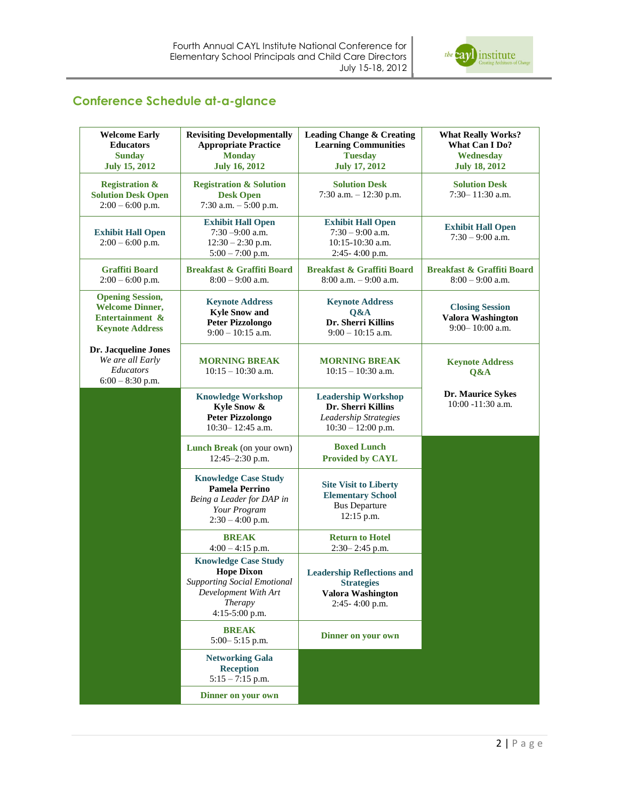

### **Conference Schedule at-a-glance**

| <b>Welcome Early</b><br><b>Educators</b><br><b>Sunday</b><br><b>July 15, 2012</b>              | <b>Revisiting Developmentally</b><br><b>Appropriate Practice</b><br><b>Monday</b><br><b>July 16, 2012</b>                                   | <b>Leading Change &amp; Creating</b><br><b>Learning Communities</b><br><b>Tuesday</b><br><b>July 17, 2012</b> | <b>What Really Works?</b><br><b>What Can I Do?</b><br>Wednesday<br><b>July 18, 2012</b> |
|------------------------------------------------------------------------------------------------|---------------------------------------------------------------------------------------------------------------------------------------------|---------------------------------------------------------------------------------------------------------------|-----------------------------------------------------------------------------------------|
| <b>Registration &amp;</b><br><b>Solution Desk Open</b><br>$2:00 - 6:00$ p.m.                   | <b>Registration &amp; Solution</b><br><b>Desk Open</b><br>7:30 a.m. $-5:00$ p.m.                                                            | <b>Solution Desk</b><br>7:30 a.m. $-12:30$ p.m.                                                               | <b>Solution Desk</b><br>$7:30 - 11:30$ a.m.                                             |
| <b>Exhibit Hall Open</b><br>$2:00 - 6:00$ p.m.                                                 | <b>Exhibit Hall Open</b><br>$7:30 - 9:00$ a.m.<br>$12:30 - 2:30$ p.m.<br>$5:00 - 7:00$ p.m.                                                 | <b>Exhibit Hall Open</b><br>$7:30 - 9:00$ a.m.<br>10:15-10:30 a.m.<br>$2:45-4:00$ p.m.                        | <b>Exhibit Hall Open</b><br>$7:30 - 9:00$ a.m.                                          |
| <b>Graffiti Board</b><br>$2:00 - 6:00$ p.m.                                                    | <b>Breakfast &amp; Graffiti Board</b><br>$8:00 - 9:00$ a.m.                                                                                 | <b>Breakfast &amp; Graffiti Board</b><br>$8:00$ a.m. $-9:00$ a.m.                                             | <b>Breakfast &amp; Graffiti Board</b><br>$8:00 - 9:00$ a.m.                             |
| <b>Opening Session,</b><br><b>Welcome Dinner,</b><br>Entertainment &<br><b>Keynote Address</b> | <b>Keynote Address</b><br><b>Kyle Snow and</b><br><b>Peter Pizzolongo</b><br>$9:00 - 10:15$ a.m.                                            | <b>Keynote Address</b><br>Q&A<br>Dr. Sherri Killins<br>$9:00 - 10:15$ a.m.                                    | <b>Closing Session</b><br>Valora Washington<br>$9:00 - 10:00$ a.m.                      |
| Dr. Jacqueline Jones<br>We are all Early<br>Educators<br>$6:00 - 8:30$ p.m.                    | <b>MORNING BREAK</b><br>$10:15 - 10:30$ a.m.                                                                                                | <b>MORNING BREAK</b><br>$10:15 - 10:30$ a.m.                                                                  | <b>Keynote Address</b><br>Q&A                                                           |
|                                                                                                | <b>Knowledge Workshop</b><br>Kyle Snow &<br><b>Peter Pizzolongo</b><br>$10:30 - 12:45$ a.m.                                                 | <b>Leadership Workshop</b><br>Dr. Sherri Killins<br>Leadership Strategies<br>$10:30 - 12:00$ p.m.             | Dr. Maurice Sykes<br>$10:00 - 11:30$ a.m.                                               |
|                                                                                                | <b>Lunch Break</b> (on your own)<br>12:45-2:30 p.m.                                                                                         | <b>Boxed Lunch</b><br><b>Provided by CAYL</b>                                                                 |                                                                                         |
|                                                                                                | <b>Knowledge Case Study</b><br><b>Pamela Perrino</b><br>Being a Leader for DAP in<br>Your Program<br>$2:30 - 4:00$ p.m.                     | <b>Site Visit to Liberty</b><br><b>Elementary School</b><br><b>Bus Departure</b><br>$12:15$ p.m.              |                                                                                         |
|                                                                                                | <b>BREAK</b><br>$4:00 - 4:15$ p.m.                                                                                                          | <b>Return to Hotel</b><br>2:30-2:45 p.m.                                                                      |                                                                                         |
|                                                                                                | <b>Knowledge Case Study</b><br><b>Hope Dixon</b><br><b>Supporting Social Emotional</b><br>Development With Art<br>Therapy<br>4:15-5:00 p.m. | <b>Leadership Reflections and</b><br><b>Strategies</b><br><b>Valora Washington</b><br>2:45-4:00 p.m.          |                                                                                         |
|                                                                                                | <b>BREAK</b><br>5:00-5:15 p.m.                                                                                                              | Dinner on your own                                                                                            |                                                                                         |
|                                                                                                | <b>Networking Gala</b><br><b>Reception</b><br>$5:15 - 7:15$ p.m.                                                                            |                                                                                                               |                                                                                         |
|                                                                                                | Dinner on your own                                                                                                                          |                                                                                                               |                                                                                         |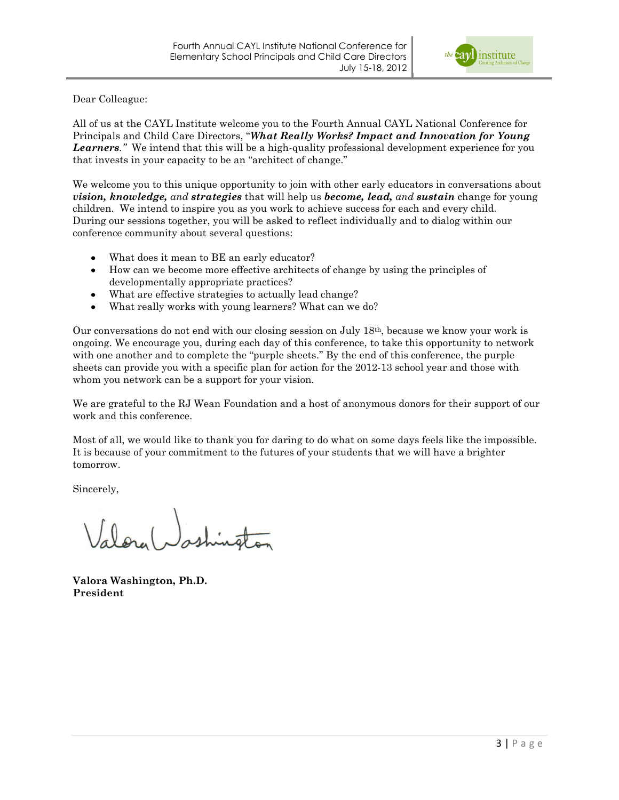

Dear Colleague:

All of us at the CAYL Institute welcome you to the Fourth Annual CAYL National Conference for Principals and Child Care Directors, "*What Really Works? Impact and Innovation for Young Learners."* We intend that this will be a high-quality professional development experience for you that invests in your capacity to be an "architect of change."

We welcome you to this unique opportunity to join with other early educators in conversations about *vision, knowledge, and strategies* that will help us *become, lead, and sustain* change for young children. We intend to inspire you as you work to achieve success for each and every child. During our sessions together, you will be asked to reflect individually and to dialog within our conference community about several questions:

- What does it mean to BE an early educator?  $\bullet$
- How can we become more effective architects of change by using the principles of developmentally appropriate practices?
- What are effective strategies to actually lead change?  $\bullet$
- What really works with young learners? What can we do?

Our conversations do not end with our closing session on July 18th, because we know your work is ongoing. We encourage you, during each day of this conference, to take this opportunity to network with one another and to complete the "purple sheets." By the end of this conference, the purple sheets can provide you with a specific plan for action for the 2012-13 school year and those with whom you network can be a support for your vision.

We are grateful to the RJ Wean Foundation and a host of anonymous donors for their support of our work and this conference.

Most of all, we would like to thank you for daring to do what on some days feels like the impossible. It is because of your commitment to the futures of your students that we will have a brighter tomorrow.

Sincerely,

**Valora Washington, Ph.D. President**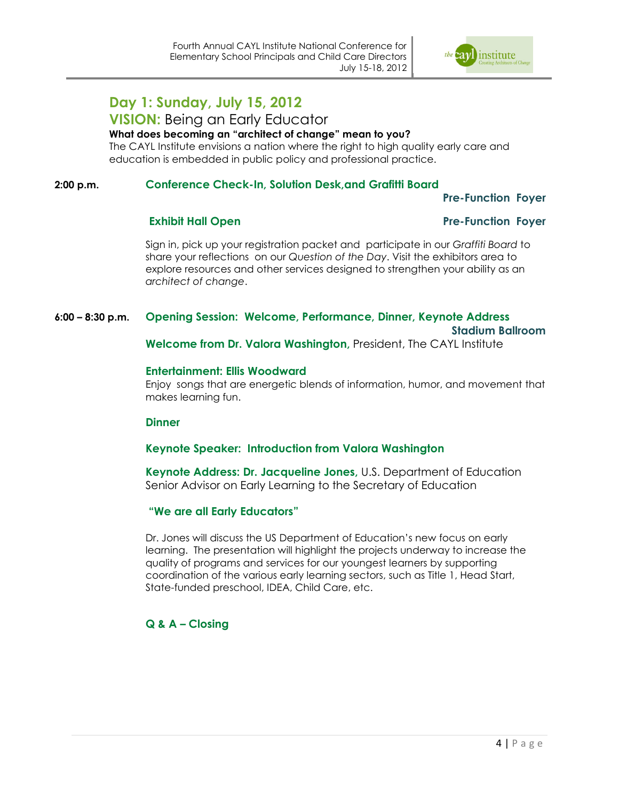

### **Day 1: Sunday, July 15, 2012**

### **VISION:** Being an Early Educator

#### **What does becoming an "architect of change" mean to you?**

The CAYL Institute envisions a nation where the right to high quality early care and education is embedded in public policy and professional practice.

#### **2:00 p.m. Conference Check-In, Solution Desk,and Grafitti Board**

#### **Pre-Function Foyer**

#### **Exhibit Hall Open Pre-Function Foyer**

Sign in, pick up your registration packet and participate in our *Graffiti Board* to share your reflections on our *Question of the Day*. Visit the exhibitors area to explore resources and other services designed to strengthen your ability as an *architect of change*.

#### **6:00 – 8:30 p.m. Opening Session: Welcome, Performance, Dinner, Keynote Address**

 **Stadium Ballroom**

**Welcome from Dr. Valora Washington,** President, The CAYL Institute

#### **Entertainment: Ellis Woodward**

Enjoy songs that are energetic blends of information, humor, and movement that makes learning fun.

#### **Dinner**

#### **Keynote Speaker: Introduction from Valora Washington**

**Keynote Address: Dr. Jacqueline Jones,** U.S. Department of Education Senior Advisor on Early Learning to the Secretary of Education

#### **"We are all Early Educators"**

Dr. Jones will discuss the US Department of Education's new focus on early learning. The presentation will highlight the projects underway to increase the quality of programs and services for our youngest learners by supporting coordination of the various early learning sectors, such as Title 1, Head Start, State-funded preschool, IDEA, Child Care, etc.

#### **Q & A – Closing**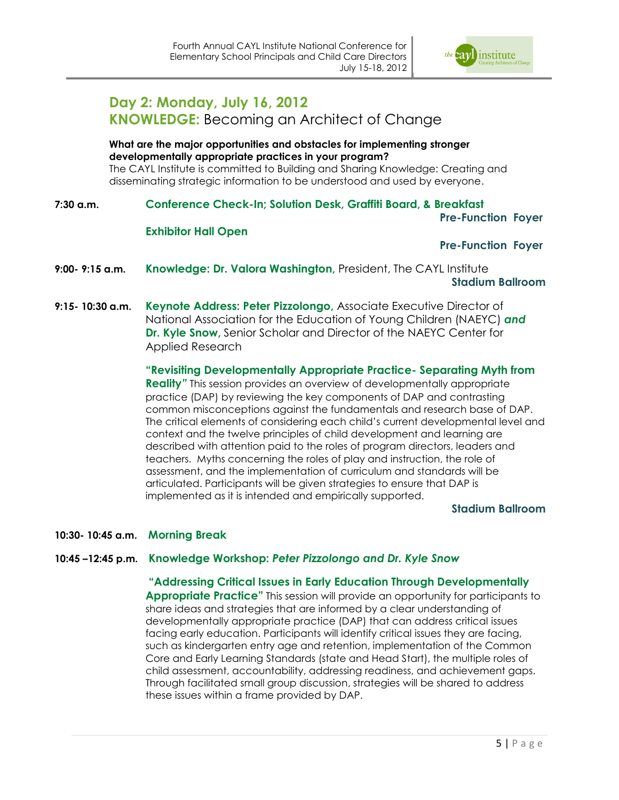

### **Day 2: Monday, July 16, 2012 KNOWLEDGE:** Becoming an Architect of Change

#### **What are the major opportunities and obstacles for implementing stronger developmentally appropriate practices in your program?**

The CAYL Institute is committed to Building and Sharing Knowledge: Creating and disseminating strategic information to be understood and used by everyone.

**7:30 a.m. Conference Check-In; Solution Desk, Graffiti Board, & Breakfast**

#### **Pre-Function Foyer**

#### **Exhibitor Hall Open**

#### **Pre-Function Foyer**

- **9:00- 9:15 a.m. Knowledge: Dr. Valora Washington,** President, The CAYL Institute **Stadium Ballroom**
- **9:15- 10:30 a.m. Keynote Address: Peter Pizzolongo,** Associate Executive Director of National Association for the Education of Young Children (NAEYC) *and*  **Dr. Kyle Snow,** Senior Scholar and Director of the NAEYC Center for Applied Research

**"Revisiting Developmentally Appropriate Practice- Separating Myth from Reality***"* This session provides an overview of developmentally appropriate practice (DAP) by reviewing the key components of DAP and contrasting common misconceptions against the fundamentals and research base of DAP. The critical elements of considering each child's current developmental level and context and the twelve principles of child development and learning are described with attention paid to the roles of program directors, leaders and teachers. Myths concerning the roles of play and instruction, the role of assessment, and the implementation of curriculum and standards will be articulated. Participants will be given strategies to ensure that DAP is implemented as it is intended and empirically supported.

#### **Stadium Ballroom**

#### **10:30- 10:45 a.m. Morning Break**

#### **10:45 –12:45 p.m. Knowledge Workshop:** *Peter Pizzolongo and Dr. Kyle Snow*

**"Addressing Critical Issues in Early Education Through Developmentally Appropriate Practice"** This session will provide an opportunity for participants to share ideas and strategies that are informed by a clear understanding of developmentally appropriate practice (DAP) that can address critical issues facing early education. Participants will identify critical issues they are facing, such as kindergarten entry age and retention, implementation of the Common Core and Early Learning Standards (state and Head Start), the multiple roles of child assessment, accountability, addressing readiness, and achievement gaps. Through facilitated small group discussion, strategies will be shared to address these issues within a frame provided by DAP.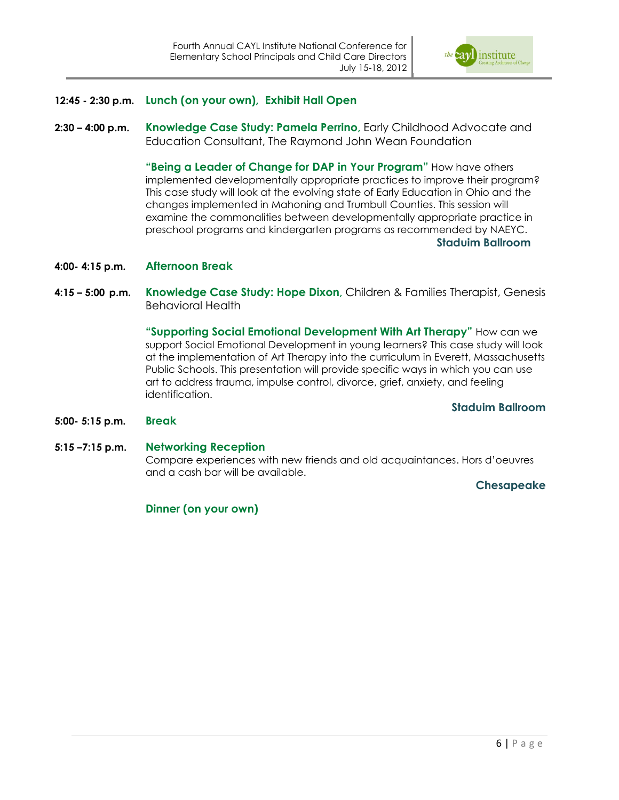

- **12:45 - 2:30 p.m. Lunch (on your own), Exhibit Hall Open**
- **2:30 – 4:00 p.m. Knowledge Case Study: Pamela Perrino,** Early Childhood Advocate and Education Consultant, The Raymond John Wean Foundation

**"Being a Leader of Change for DAP in Your Program"** How have others implemented developmentally appropriate practices to improve their program? This case study will look at the evolving state of Early Education in Ohio and the changes implemented in Mahoning and Trumbull Counties. This session will examine the commonalities between developmentally appropriate practice in preschool programs and kindergarten programs as recommended by NAEYC. **Staduim Ballroom**

- **4:00- 4:15 p.m. Afternoon Break**
- **4:15 – 5:00 p.m. Knowledge Case Study: Hope Dixon,** Children & Families Therapist, Genesis Behavioral Health

**"Supporting Social Emotional Development With Art Therapy"** How can we support Social Emotional Development in young learners? This case study will look at the implementation of Art Therapy into the curriculum in Everett, Massachusetts Public Schools. This presentation will provide specific ways in which you can use art to address trauma, impulse control, divorce, grief, anxiety, and feeling identification.

**Staduim Ballroom**

- **5:00- 5:15 p.m. Break**
- **5:15 –7:15 p.m. Networking Reception**

Compare experiences with new friends and old acquaintances. Hors d'oeuvres and a cash bar will be available.

#### **Chesapeake**

**Dinner (on your own)**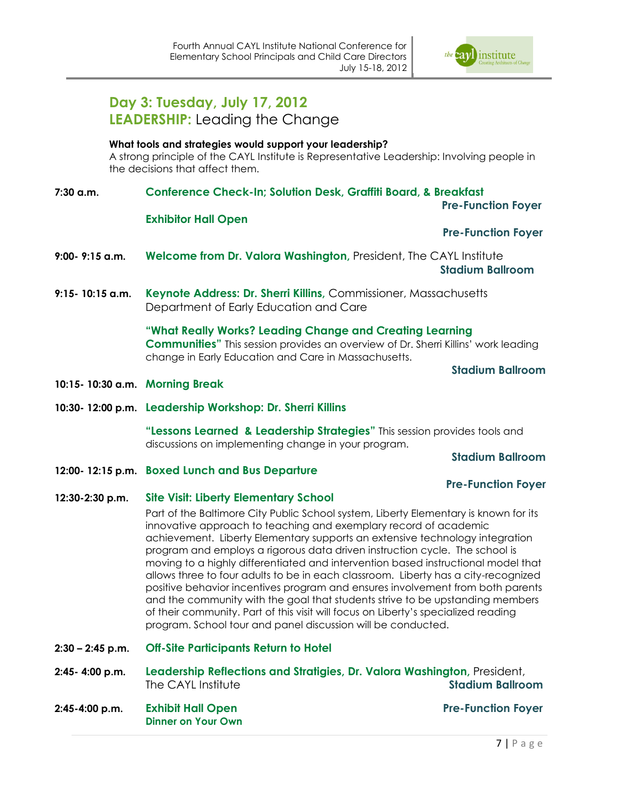

## **Day 3: Tuesday, July 17, 2012 LEADERSHIP:** Leading the Change

#### **What tools and strategies would support your leadership?**

A strong principle of the CAYL Institute is Representative Leadership: Involving people in the decisions that affect them.

**7:30 a.m. Conference Check-In; Solution Desk, Graffiti Board, & Breakfast** 

 **Pre-Function Foyer**

#### **Exhibitor Hall Open**

#### **Pre-Function Foyer**

- **9:00- 9:15 a.m. Welcome from Dr. Valora Washington,** President, The CAYL Institute  **Stadium Ballroom**
- **9:15- 10:15 a.m. Keynote Address: Dr. Sherri Killins,** Commissioner, Massachusetts Department of Early Education and Care

**"What Really Works? Leading Change and Creating Learning Communities"** This session provides an overview of Dr. Sherri Killins' work leading change in Early Education and Care in Massachusetts.

**Stadium Ballroom**

- **10:15- 10:30 a.m. Morning Break**
- **10:30- 12:00 p.m. Leadership Workshop: Dr. Sherri Killins**

**"Lessons Learned & Leadership Strategies"** This session provides tools and discussions on implementing change in your program.

**Stadium Ballroom**

**12:00- 12:15 p.m. Boxed Lunch and Bus Departure**

#### **Pre-Function Foyer**

#### **12:30-2:30 p.m. Site Visit: Liberty Elementary School**

Part of the Baltimore City Public School system, Liberty Elementary is known for its innovative approach to teaching and exemplary record of academic achievement. Liberty Elementary supports an extensive technology integration program and employs a rigorous data driven instruction cycle. The school is moving to a highly differentiated and intervention based instructional model that allows three to four adults to be in each classroom. Liberty has a city-recognized positive behavior incentives program and ensures involvement from both parents and the community with the goal that students strive to be upstanding members of their community. Part of this visit will focus on Liberty's specialized reading program. School tour and panel discussion will be conducted.

- **2:30 – 2:45 p.m. Off-Site Participants Return to Hotel**
- **2:45- 4:00 p.m. Leadership Reflections and Stratigies, Dr. Valora Washington,** President, The CAYL Institute **Stadium Ballroom**
- **2:45-4:00 p.m. Exhibit Hall Open Pre-Function Foyer Dinner on Your Own**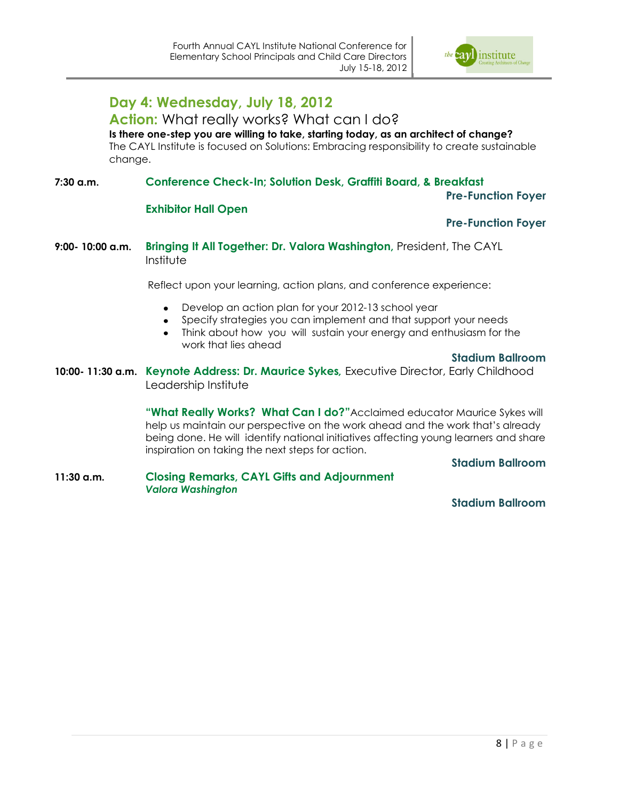

### **Day 4: Wednesday, July 18, 2012**

#### **Action:** What really works? What can I do?

**Is there one-step you are willing to take, starting today, as an architect of change?** The CAYL Institute is focused on Solutions: Embracing responsibility to create sustainable change.

#### **7:30 a.m. Conference Check-In; Solution Desk, Graffiti Board, & Breakfast**

#### **Pre-Function Foyer**

#### **Exhibitor Hall Open**

#### **Pre-Function Foyer**

#### **9:00- 10:00 a.m. Bringing It All Together: Dr. Valora Washington,** President, The CAYL Institute

Reflect upon your learning, action plans, and conference experience:

- Develop an action plan for your 2012-13 school year
- Specify strategies you can implement and that support your needs
- Think about how you will sustain your energy and enthusiasm for the work that lies ahead

#### **Stadium Ballroom**

**10:00- 11:30 a.m. Keynote Address: Dr. Maurice Sykes***,* Executive Director, Early Childhood Leadership Institute

> **"What Really Works? What Can I do?"**Acclaimed educator Maurice Sykes will help us maintain our perspective on the work ahead and the work that's already being done. He will identify national initiatives affecting young learners and share inspiration on taking the next steps for action.

#### **Stadium Ballroom**

**11:30 a.m. Closing Remarks, CAYL Gifts and Adjournment** *Valora Washington*

#### **Stadium Ballroom**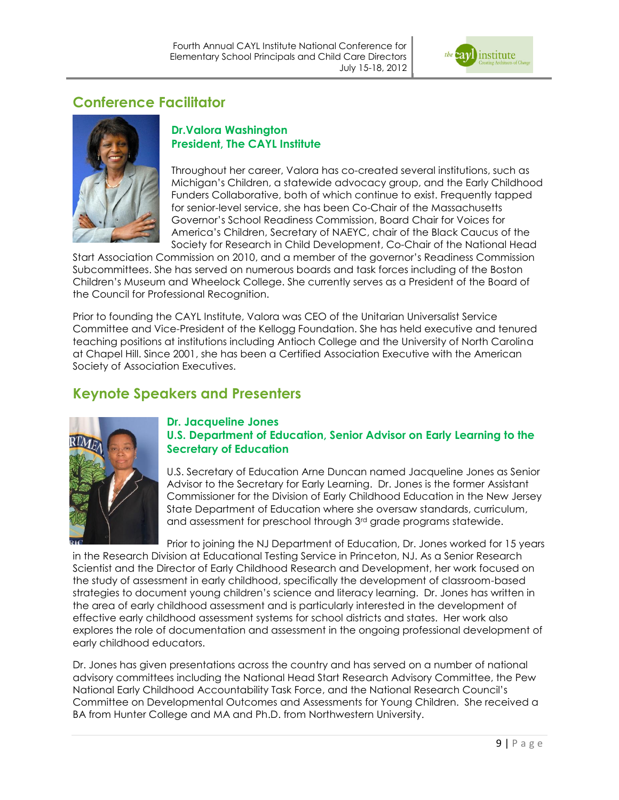

### **Conference Facilitator**



#### **Dr.Valora Washington President, The CAYL Institute**

Throughout her career, Valora has co-created several institutions, such as Michigan's Children, a statewide advocacy group, and the Early Childhood Funders Collaborative, both of which continue to exist. Frequently tapped for senior-level service, she has been Co-Chair of the Massachusetts Governor's School Readiness Commission, Board Chair for Voices for America's Children, Secretary of NAEYC, chair of the Black Caucus of the Society for Research in Child Development, Co-Chair of the National Head

Start Association Commission on 2010, and a member of the governor's Readiness Commission Subcommittees. She has served on numerous boards and task forces including of the Boston Children's Museum and Wheelock College. She currently serves as a President of the Board of the Council for Professional Recognition.

Prior to founding the CAYL Institute, Valora was CEO of the Unitarian Universalist Service Committee and Vice-President of the Kellogg Foundation. She has held executive and tenured teaching positions at institutions including Antioch College and the University of North Carolina at Chapel Hill. Since 2001, she has been a Certified Association Executive with the American Society of Association Executives.

### **Keynote Speakers and Presenters**



#### **Dr. Jacqueline Jones U.S. Department of Education, Senior Advisor on Early Learning to the Secretary of Education**

U.S. Secretary of Education Arne Duncan named Jacqueline Jones as Senior Advisor to the Secretary for Early Learning. Dr. Jones is the former Assistant Commissioner for the Division of Early Childhood Education in the New Jersey State Department of Education where she oversaw standards, curriculum, and assessment for preschool through 3rd grade programs statewide.

Prior to joining the NJ Department of Education, Dr. Jones worked for 15 years in the Research Division at Educational Testing Service in Princeton, NJ. As a Senior Research Scientist and the Director of Early Childhood Research and Development, her work focused on the study of assessment in early childhood, specifically the development of classroom-based strategies to document young children's science and literacy learning. Dr. Jones has written in the area of early childhood assessment and is particularly interested in the development of effective early childhood assessment systems for school districts and states. Her work also explores the role of documentation and assessment in the ongoing professional development of early childhood educators.

Dr. Jones has given presentations across the country and has served on a number of national advisory committees including the National Head Start Research Advisory Committee, the Pew National Early Childhood Accountability Task Force, and the National Research Council's Committee on Developmental Outcomes and Assessments for Young Children. She received a BA from Hunter College and MA and Ph.D. from Northwestern University.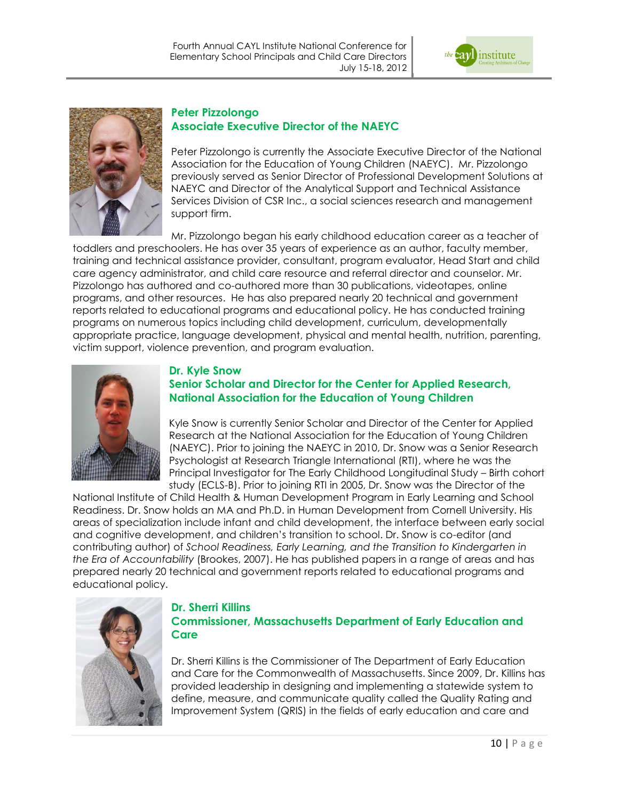



#### **Peter Pizzolongo Associate Executive Director of the NAEYC**

Peter Pizzolongo is currently the Associate Executive Director of the National Association for the Education of Young Children (NAEYC). Mr. Pizzolongo previously served as Senior Director of Professional Development Solutions at NAEYC and Director of the Analytical Support and Technical Assistance Services Division of CSR Inc., a social sciences research and management support firm.

Mr. Pizzolongo began his early childhood education career as a teacher of toddlers and preschoolers. He has over 35 years of experience as an author, faculty member, training and technical assistance provider, consultant, program evaluator, Head Start and child care agency administrator, and child care resource and referral director and counselor. Mr. Pizzolongo has authored and co-authored more than 30 publications, videotapes, online programs, and other resources. He has also prepared nearly 20 technical and government reports related to educational programs and educational policy. He has conducted training programs on numerous topics including child development, curriculum, developmentally appropriate practice, language development, physical and mental health, nutrition, parenting, victim support, violence prevention, and program evaluation.



#### **Dr. Kyle Snow Senior Scholar and Director for the Center for Applied Research, National Association for the Education of Young Children**

Kyle Snow is currently Senior Scholar and Director of the Center for Applied Research at the National Association for the Education of Young Children (NAEYC). Prior to joining the NAEYC in 2010, Dr. Snow was a Senior Research Psychologist at Research Triangle International (RTI), where he was the Principal Investigator for The Early Childhood Longitudinal Study – Birth cohort study (ECLS-B). Prior to joining RTI in 2005, Dr. Snow was the Director of the

National Institute of Child Health & Human Development Program in Early Learning and School Readiness. Dr. Snow holds an MA and Ph.D. in Human Development from Cornell University. His areas of specialization include infant and child development, the interface between early social and cognitive development, and children's transition to school. Dr. Snow is co-editor (and contributing author) of *School Readiness, Early Learning, and the Transition to Kindergarten in the Era of Accountability* (Brookes, 2007). He has published papers in a range of areas and has prepared nearly 20 technical and government reports related to educational programs and educational policy.



#### **Dr. Sherri Killins Commissioner, Massachusetts Department of Early Education and Care**

Dr. Sherri Killins is the Commissioner of The Department of Early Education and Care for the Commonwealth of Massachusetts. Since 2009, Dr. Killins has provided leadership in designing and implementing a statewide system to define, measure, and communicate quality called the Quality Rating and Improvement System (QRIS) in the fields of early education and care and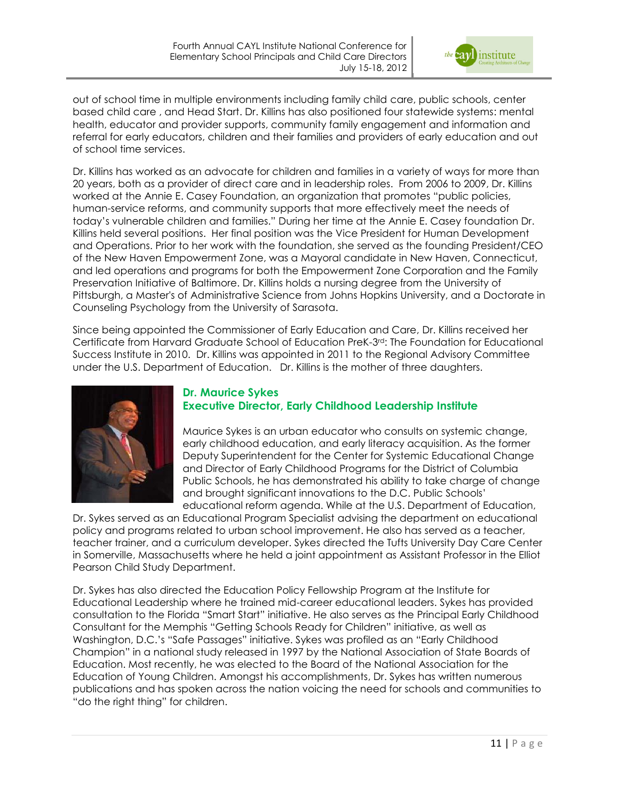

out of school time in multiple environments including family child care, public schools, center based child care , and Head Start. Dr. Killins has also positioned four statewide systems: mental health, educator and provider supports, community family engagement and information and referral for early educators, children and their families and providers of early education and out of school time services.

Dr. Killins has worked as an advocate for children and families in a variety of ways for more than 20 years, both as a provider of direct care and in leadership roles. From 2006 to 2009, Dr. Killins worked at the Annie E. Casey Foundation, an organization that promotes "public policies, human-service reforms, and community supports that more effectively meet the needs of today's vulnerable children and families." During her time at the Annie E. Casey foundation Dr. Killins held several positions. Her final position was the Vice President for Human Development and Operations. Prior to her work with the foundation, she served as the founding President/CEO of the New Haven Empowerment Zone, was a Mayoral candidate in New Haven, Connecticut, and led operations and programs for both the Empowerment Zone Corporation and the Family Preservation Initiative of Baltimore. Dr. Killins holds a nursing degree from the University of Pittsburgh, a Master's of Administrative Science from Johns Hopkins University, and a Doctorate in Counseling Psychology from the University of Sarasota.

Since being appointed the Commissioner of Early Education and Care, Dr. Killins received her Certificate from Harvard Graduate School of Education PreK-3rd: The Foundation for Educational Success Institute in 2010. Dr. Killins was appointed in 2011 to the Regional Advisory Committee under the U.S. Department of Education. Dr. Killins is the mother of three daughters.



#### **Dr. Maurice Sykes Executive Director, Early Childhood Leadership Institute**

Maurice Sykes is an urban educator who consults on systemic change, early childhood education, and early literacy acquisition. As the former Deputy Superintendent for the Center for Systemic Educational Change and Director of Early Childhood Programs for the District of Columbia Public Schools, he has demonstrated his ability to take charge of change and brought significant innovations to the D.C. Public Schools' educational reform agenda. While at the U.S. Department of Education,

Dr. Sykes served as an Educational Program Specialist advising the department on educational policy and programs related to urban school improvement. He also has served as a teacher, teacher trainer, and a curriculum developer. Sykes directed the Tufts University Day Care Center in Somerville, Massachusetts where he held a joint appointment as Assistant Professor in the Elliot Pearson Child Study Department.

Dr. Sykes has also directed the Education Policy Fellowship Program at the Institute for Educational Leadership where he trained mid-career educational leaders. Sykes has provided consultation to the Florida "Smart Start" initiative. He also serves as the Principal Early Childhood Consultant for the Memphis "Getting Schools Ready for Children" initiative, as well as Washington, D.C.'s "Safe Passages" initiative. Sykes was profiled as an "Early Childhood Champion" in a national study released in 1997 by the National Association of State Boards of Education. Most recently, he was elected to the Board of the National Association for the Education of Young Children. Amongst his accomplishments, Dr. Sykes has written numerous publications and has spoken across the nation voicing the need for schools and communities to "do the right thing" for children.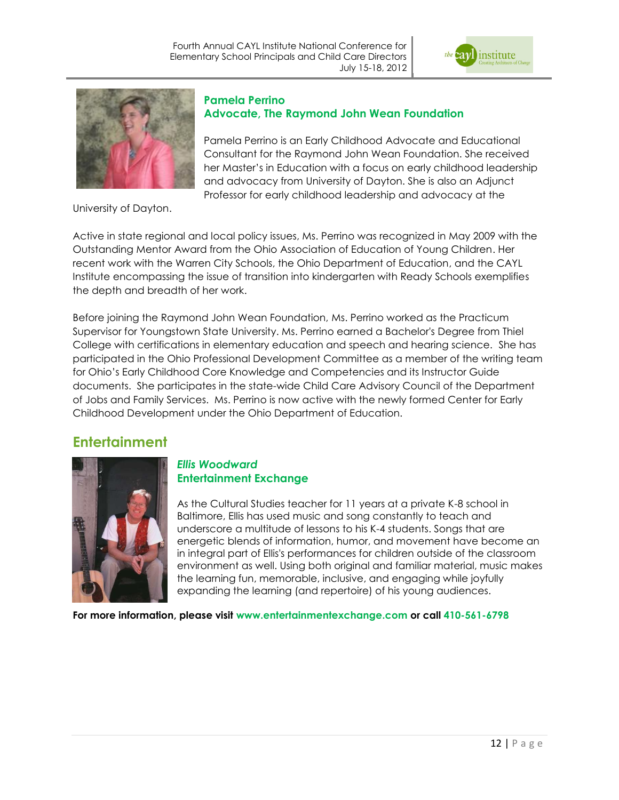



#### **Pamela Perrino Advocate, The Raymond John Wean Foundation**

Pamela Perrino is an Early Childhood Advocate and Educational Consultant for the Raymond John Wean Foundation. She received her Master's in Education with a focus on early childhood leadership and advocacy from University of Dayton. She is also an Adjunct Professor for early childhood leadership and advocacy at the

University of Dayton.

Active in state regional and local policy issues, Ms. Perrino was recognized in May 2009 with the Outstanding Mentor Award from the Ohio Association of Education of Young Children. Her recent work with the Warren City Schools, the Ohio Department of Education, and the CAYL Institute encompassing the issue of transition into kindergarten with Ready Schools exemplifies the depth and breadth of her work.

Before joining the Raymond John Wean Foundation, Ms. Perrino worked as the Practicum Supervisor for Youngstown State University. Ms. Perrino earned a Bachelor's Degree from Thiel College with certifications in elementary education and speech and hearing science. She has participated in the Ohio Professional Development Committee as a member of the writing team for Ohio's Early Childhood Core Knowledge and Competencies and its Instructor Guide documents. She participates in the state-wide Child Care Advisory Council of the Department of Jobs and Family Services. Ms. Perrino is now active with the newly formed Center for Early Childhood Development under the Ohio Department of Education.

### **Entertainment**



#### *Ellis Woodward* **Entertainment Exchange**

As the Cultural Studies teacher for 11 years at a private K-8 school in Baltimore, Ellis has used music and song constantly to teach and underscore a multitude of lessons to his K-4 students. Songs that are energetic blends of information, humor, and movement have become an in integral part of Ellis's performances for children outside of the classroom environment as well. Using both original and familiar material, music makes the learning fun, memorable, inclusive, and engaging while joyfully expanding the learning (and repertoire) of his young audiences.

**For more information, please visit www.entertainmentexchange.com or call 410-561-6798**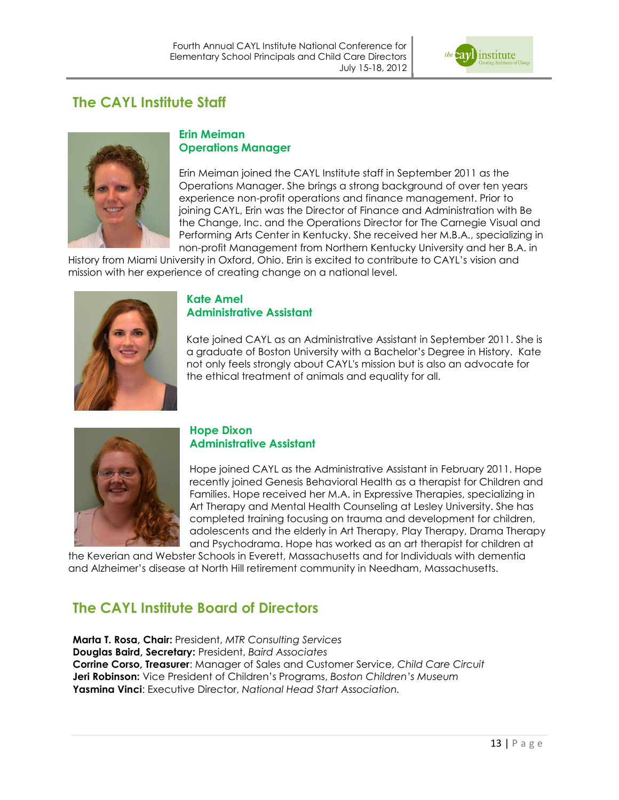

### **The CAYL Institute Staff**



#### **Erin Meiman Operations Manager**

Erin Meiman joined the CAYL Institute staff in September 2011 as the Operations Manager. She brings a strong background of over ten years experience non-profit operations and finance management. Prior to joining CAYL, Erin was the Director of Finance and Administration with Be the Change, Inc. and the Operations Director for The Carnegie Visual and Performing Arts Center in Kentucky. She received her M.B.A., specializing in non-profit Management from Northern Kentucky University and her B.A. in

History from Miami University in Oxford, Ohio. Erin is excited to contribute to CAYL's vision and mission with her experience of creating change on a national level.



#### **Kate Amel Administrative Assistant**

Kate joined CAYL as an Administrative Assistant in September 2011. She is a graduate of Boston University with a Bachelor's Degree in History. Kate not only feels strongly about CAYL's mission but is also an advocate for the ethical treatment of animals and equality for all.



#### **Hope Dixon Administrative Assistant**

Hope joined CAYL as the Administrative Assistant in February 2011. Hope recently joined Genesis Behavioral Health as a therapist for Children and Families. Hope received her M.A. in Expressive Therapies, specializing in Art Therapy and Mental Health Counseling at Lesley University. She has completed training focusing on trauma and development for children, adolescents and the elderly in Art Therapy, Play Therapy, Drama Therapy and Psychodrama. Hope has worked as an art therapist for children at

the Keverian and Webster Schools in Everett, Massachusetts and for Individuals with dementia and Alzheimer's disease at North Hill retirement community in Needham, Massachusetts.

## **The CAYL Institute Board of Directors**

**Marta T. Rosa, Chair:** President, *MTR Consulting Services* **Douglas Baird, Secretary:** President, *Baird Associates* **Corrine Corso, Treasurer**: Manager of Sales and Customer Service, *Child Care Circuit* **Jeri Robinson:** Vice President of Children's Programs, *Boston Children's Museum* **Yasmina Vinci**: Executive Director, *National Head Start Association.*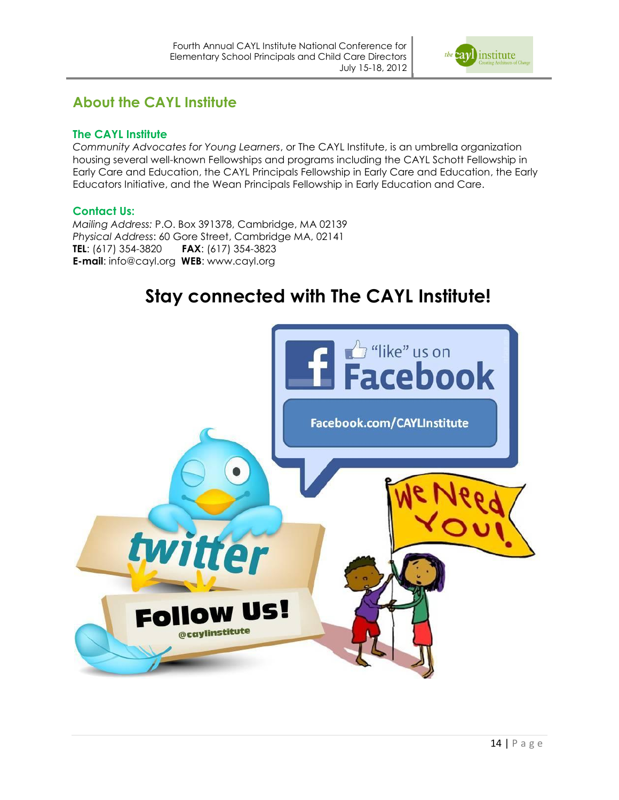

### **About the CAYL Institute**

#### **The CAYL Institute**

*Community Advocates for Young Learners*, or The CAYL Institute, is an umbrella organization housing several well-known Fellowships and programs including the [CAYL Schott Fellowship in](http://www.cayl.org/?q=node/3)  Early Care and Education, the [CAYL Principals Fellowship in Early Care and Education,](http://www.cayl.org/principalsfellowship) the Early Educators Initiative, and the Wean Principals Fellowship in Early Education and Care.

#### **Contact Us:**

*Mailing Address:* P.O. Box 391378, Cambridge, MA 02139 *Physical Address*: 60 Gore Street, Cambridge MA, 02141 **TEL**: (617) 354-3820 **FAX**: (617) 354-3823 **E-mail**: info@cayl.org **WEB**: www.cayl.org

# **Stay connected with The CAYL Institute!**

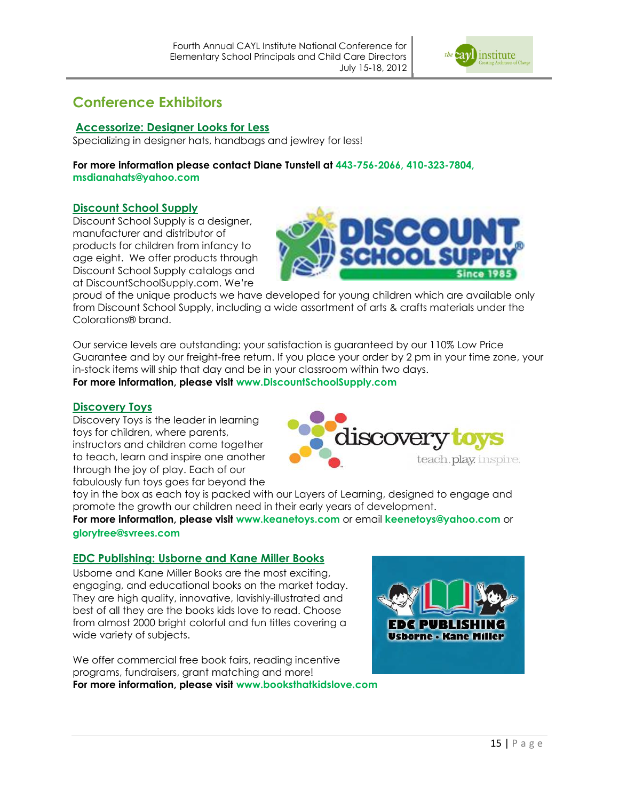

### **Conference Exhibitors**

#### **Accessorize: Designer Looks for Less**

Specializing in designer hats, handbags and jewlrey for less!

**For more information please contact Diane Tunstell at 443-756-2066, 410-323-7804, msdianahats@yahoo.com**

#### **Discount School Supply**

Discount School Supply is a designer, manufacturer and distributor of products for children from infancy to age eight. We offer products through Discount School Supply catalogs and at DiscountSchoolSupply.com. We're



proud of the unique products we have developed for young children which are available only from Discount School Supply, including a wide assortment of arts & crafts materials under the Colorations® brand.

Our service levels are outstanding: your satisfaction is guaranteed by our 110% Low Price Guarantee and by our freight-free return. If you place your order by 2 pm in your time zone, your in-stock items will ship that day and be in your classroom within two days. **For more information, please visit www.DiscountSchoolSupply.com** 

#### **Discovery Toys**

Discovery Toys is the leader in learning toys for children, where parents, instructors and children come together to teach, learn and inspire one another through the joy of play. Each of our fabulously fun toys goes far beyond the



toy in the box as each toy is packed with our Layers of Learning, designed to engage and promote the growth our children need in their early years of development.

**For more information, please visit www.keanetoys.com** or email **keenetoys@yahoo.com** or **glorytree@svrees.com**

#### **EDC Publishing: Usborne and Kane Miller Books**

Usborne and Kane Miller Books are the most exciting, engaging, and educational books on the market today. They are high quality, innovative, lavishly-illustrated and best of all they are the books kids love to read. Choose from almost 2000 bright colorful and fun titles covering a wide variety of subjects.

We offer commercial free book fairs, reading incentive programs, fundraisers, grant matching and more! **For more information, please visit www.booksthatkidslove.com**

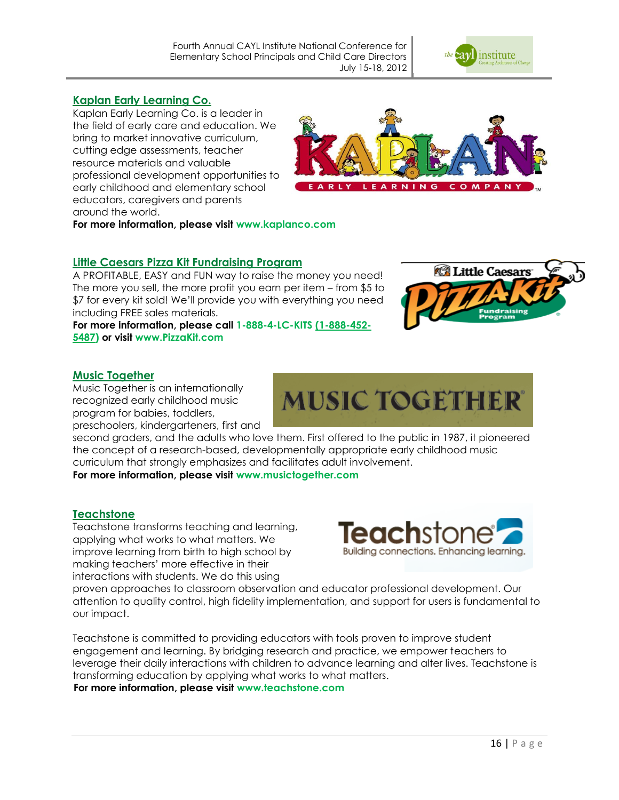

#### **Kaplan Early Learning Co.**

Kaplan Early Learning Co. is a leader in the field of early care and education. We bring to market innovative curriculum, cutting edge assessments, teacher resource materials and valuable professional development opportunities to early childhood and elementary school educators, caregivers and parents around the world.



**For more information, please visit www.kaplanco.com**

#### **Little Caesars Pizza Kit Fundraising Program**

A PROFITABLE, EASY and FUN way to raise the money you need! The more you sell, the more profit you earn per item – from \$5 to \$7 for every kit sold! We'll provide you with everything you need including FREE sales materials.

**For more information, please call 1-888-4-LC-KITS [\(1-888-452-](tel:%281-888-452-5487) [5487\)](tel:%281-888-452-5487) or visit www.PizzaKit.com**



#### **Music Together**

Music Together is an internationally recognized early childhood music program for babies, toddlers, preschoolers, kindergarteners, first and



second graders, and the adults who love them. First offered to the public in 1987, it pioneered the concept of a research-based, developmentally appropriate early childhood music curriculum that strongly emphasizes and facilitates adult involvement.

**For more information, please visit www.musictogether.com**

#### **Teachstone**

Teachstone transforms teaching and learning, applying what works to what matters. We improve learning from birth to high school by making teachers' more effective in their interactions with students. We do this using



proven approaches to classroom observation and educator professional development. Our attention to quality control, high fidelity implementation, and support for users is fundamental to our impact.

Teachstone is committed to providing educators with tools proven to improve student engagement and learning. By bridging research and practice, we empower teachers to leverage their daily interactions with children to advance learning and alter lives. Teachstone is transforming education by applying what works to what matters.

**For more information, please visit www.teachstone.com**